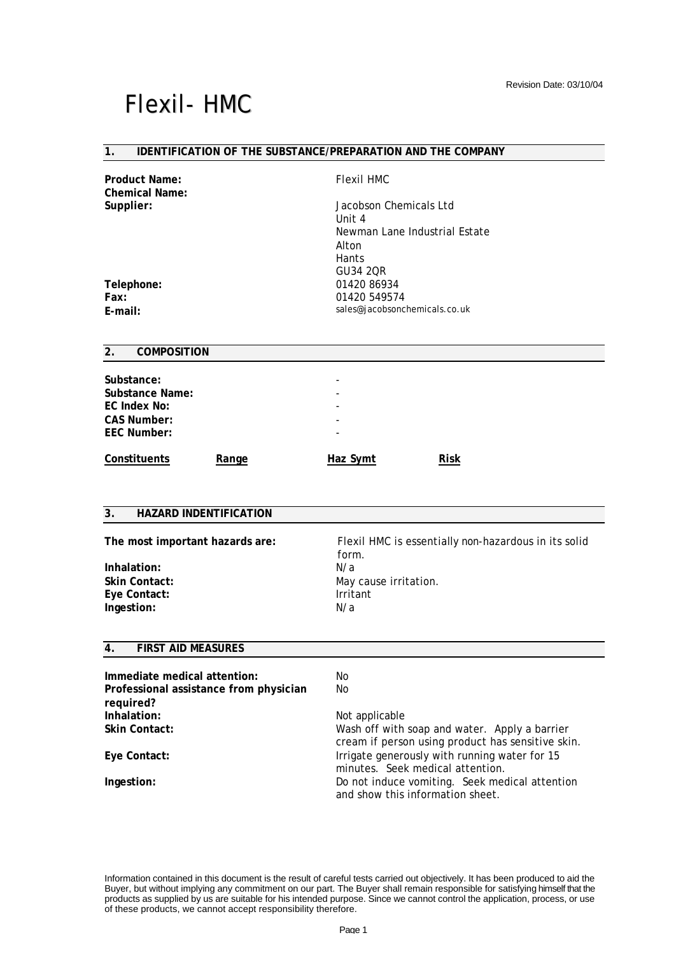### **1. IDENTIFICATION OF THE SUBSTANCE/PREPARATION AND THE COMPANY**

| <b>Product Name:</b>                     | <b>Flexil HMC</b>                                    |  |
|------------------------------------------|------------------------------------------------------|--|
| <b>Chemical Name:</b><br>Supplier:       | Jacobson Chemicals Ltd                               |  |
|                                          | Unit 4                                               |  |
|                                          | Newman Lane Industrial Estate                        |  |
|                                          | Alton                                                |  |
|                                          | Hants                                                |  |
|                                          | GU34 2QR                                             |  |
| Telephone:                               | 01420 86934                                          |  |
| Fax:                                     | 01420 549574                                         |  |
| E-mail:                                  | sales@jacobsonchemicals.co.uk                        |  |
| <b>COMPOSITION</b><br>2.                 |                                                      |  |
|                                          |                                                      |  |
| Substance:                               |                                                      |  |
| <b>Substance Name:</b>                   |                                                      |  |
| <b>EC Index No:</b>                      |                                                      |  |
| <b>CAS Number:</b><br><b>EEC Number:</b> |                                                      |  |
|                                          |                                                      |  |
| <b>Constituents</b><br>Range             | <b>Haz Symt</b><br><b>Risk</b>                       |  |
|                                          |                                                      |  |
|                                          |                                                      |  |
| 3.<br><b>HAZARD INDENTIFICATION</b>      |                                                      |  |
| The most important hazards are:          | Flexil HMC is essentially non-hazardous in its solid |  |
|                                          | form.                                                |  |
| Inhalation:                              | N/a                                                  |  |
| <b>Skin Contact:</b>                     | May cause irritation.                                |  |
| Eye Contact:                             | Irritant                                             |  |
| Ingestion:                               | N/a                                                  |  |
|                                          |                                                      |  |
| <b>FIRST AID MEASURES</b><br>4.          |                                                      |  |
| Immediate medical attention:             | No                                                   |  |
| Professional assistance from physician   | No                                                   |  |
| required?                                |                                                      |  |
| Inhalation:                              | Not applicable                                       |  |
| <b>Skin Contact:</b>                     | Wash off with soap and water. Apply a barrier        |  |
|                                          | cream if person using product has sensitive skin.    |  |
| Eye Contact:                             | Irrigate generously with running water for 15        |  |
|                                          | minutes. Seek medical attention.                     |  |
| Ingestion:                               | Do not induce vomiting. Seek medical attention       |  |

Information contained in this document is the result of careful tests carried out objectively. It has been produced to aid the Buyer, but without implying any commitment on our part. The Buyer shall remain responsible for satisfying himself that the products as supplied by us are suitable for his intended purpose. Since we cannot control the application, process, or use of these products, we cannot accept responsibility therefore.

and show this information sheet.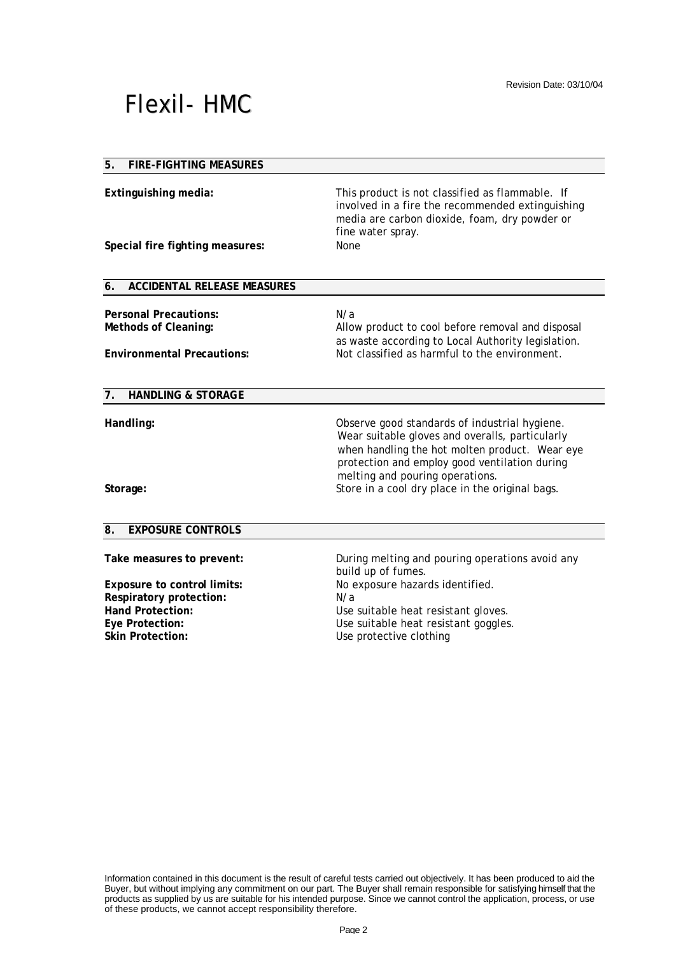## **5. FIRE-FIGHTING MEASURES**

| Extinguishing media:<br>Special fire fighting measures:                                   | This product is not classified as flammable. If<br>involved in a fire the recommended extinguishing<br>media are carbon dioxide, foam, dry powder or<br>fine water spray.<br><b>None</b>                                                                                                  |
|-------------------------------------------------------------------------------------------|-------------------------------------------------------------------------------------------------------------------------------------------------------------------------------------------------------------------------------------------------------------------------------------------|
| 6.<br><b>ACCIDENTAL RELEASE MEASURES</b>                                                  |                                                                                                                                                                                                                                                                                           |
| <b>Personal Precautions:</b><br>Methods of Cleaning:<br><b>Environmental Precautions:</b> | N/a<br>Allow product to cool before removal and disposal<br>as waste according to Local Authority legislation.<br>Not classified as harmful to the environment.                                                                                                                           |
| 7. HANDLING & STORAGE                                                                     |                                                                                                                                                                                                                                                                                           |
| Handling:<br>Storage:                                                                     | Observe good standards of industrial hygiene.<br>Wear suitable gloves and overalls, particularly<br>when handling the hot molten product. Wear eye<br>protection and employ good ventilation during<br>melting and pouring operations.<br>Store in a cool dry place in the original bags. |
| $\overline{\mathbf{8}}$ .<br><b>EXPOSURE CONTROLS</b>                                     |                                                                                                                                                                                                                                                                                           |
| Take measures to prevent:                                                                 | During melting and pouring operations avoid any                                                                                                                                                                                                                                           |

**Respiratory protection:** N/a **Skin Protection:** Use protective clothing

build up of fumes. **Exposure to control limits:** No exposure hazards identified. Hand Protection: **Hand Protection:** Use suitable heat resistant gloves. **Eye Protection:** Use suitable heat resistant goggles.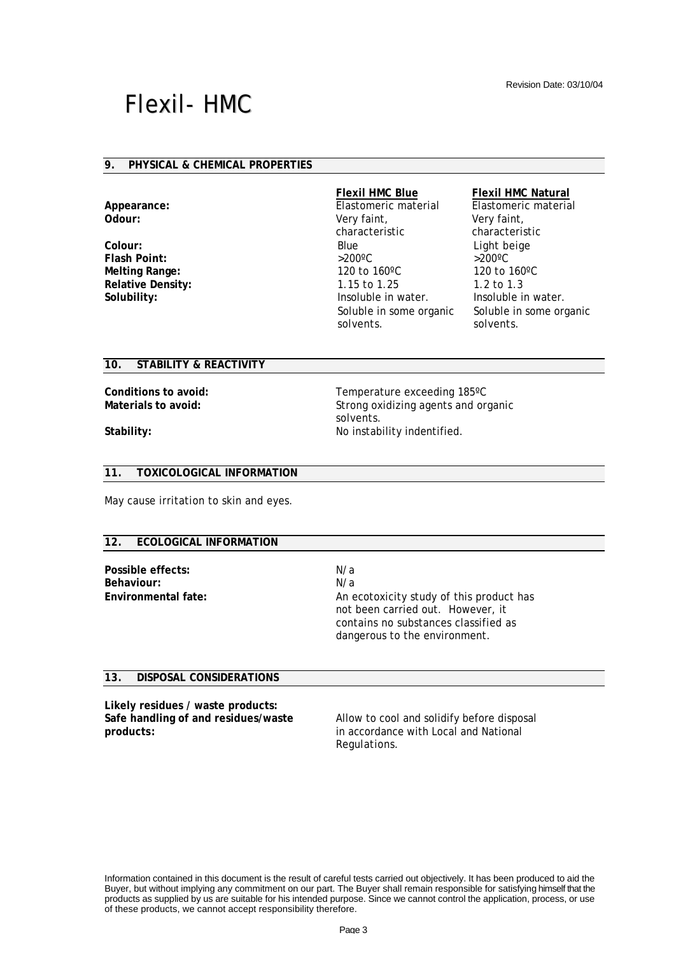### **9. PHYSICAL & CHEMICAL PROPERTIES**

**Odour:** Very faint,

**Flash Point:** 

### **Flexil HMC Blue Flexil HMC Natural**

**Appearance:** Elastomeric material Elastomeric material characteristic **Colour:** Blue Blue Light beige<br> **Flash Point:**  $>200^{\circ}$ C  $>200^{\circ}$ C  $>200^{\circ}$ C **Melting Range:** 120 to 160<sup>o</sup>C 120 to 160<sup>o</sup>C **Relative Density:** 2.15 to 1.25 1.2 to 1.3 **Solubility:** Insoluble in water. Insoluble in water. Soluble in some organic solvents.

Very faint, characteristic Soluble in some organic solvents.

### **10. STABILITY & REACTIVITY**

**Conditions to avoid:** Temperature exceeding 185°C **Materials to avoid:** Strong oxidizing agents and organic solvents. **Stability:** No instability indentified.

## **11. TOXICOLOGICAL INFORMATION**

May cause irritation to skin and eyes.

## **12. ECOLOGICAL INFORMATION**

**Possible effects:** N/a **Behaviour:** N/a

**Environmental fate:** An ecotoxicity study of this product has not been carried out. However, it contains no substances classified as dangerous to the environment.

### **13. DISPOSAL CONSIDERATIONS**

**Likely residues / waste products: Safe handling of and residues/waste products:**

Allow to cool and solidify before disposal in accordance with Local and National Regulations.